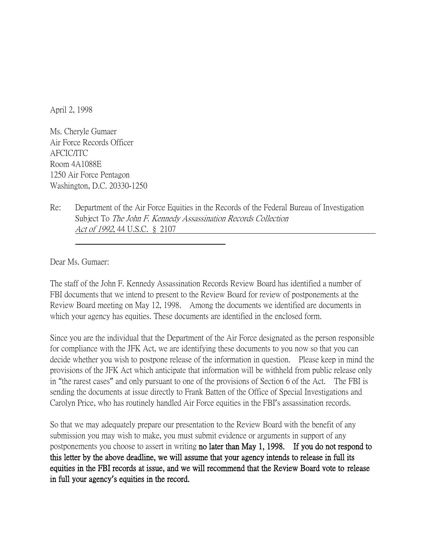April 2, 1998

Ms. Cheryle Gumaer Air Force Records Officer AFCIC/ITC Room 4A1088E 1250 Air Force Pentagon Washington, D.C. 20330-1250

Re: Department of the Air Force Equities in the Records of the Federal Bureau of Investigation Subject To The John F. Kennedy Assassination Records Collection Act of 1992, 44 U.S.C. § 2107

Dear Ms. Gumaer:

The staff of the John F. Kennedy Assassination Records Review Board has identified a number of FBI documents that we intend to present to the Review Board for review of postponements at the Review Board meeting on May 12, 1998. Among the documents we identified are documents in which your agency has equities. These documents are identified in the enclosed form.

Since you are the individual that the Department of the Air Force designated as the person responsible for compliance with the JFK Act, we are identifying these documents to you now so that you can decide whether you wish to postpone release of the information in question. Please keep in mind the provisions of the JFK Act which anticipate that information will be withheld from public release only in "the rarest cases" and only pursuant to one of the provisions of Section 6 of the Act. The FBI is sending the documents at issue directly to Frank Batten of the Office of Special Investigations and Carolyn Price, who has routinely handled Air Force equities in the FBI's assassination records.

So that we may adequately prepare our presentation to the Review Board with the benefit of any submission you may wish to make, you must submit evidence or arguments in support of any postponements you choose to assert in writing no later than May 1, 1998. If you do not respond to this letter by the above deadline, we will assume that your agency intends to release in full its equities in the FBI records at issue, and we will recommend that the Review Board vote to release in full your agency**'**s equities in the record.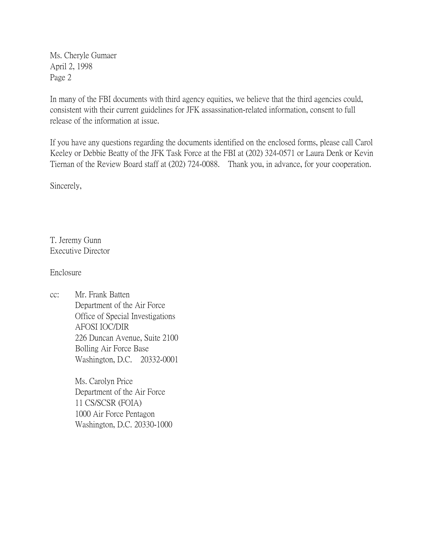Ms. Cheryle Gumaer April 2, 1998 Page 2

In many of the FBI documents with third agency equities, we believe that the third agencies could, consistent with their current guidelines for JFK assassination-related information, consent to full release of the information at issue.

If you have any questions regarding the documents identified on the enclosed forms, please call Carol Keeley or Debbie Beatty of the JFK Task Force at the FBI at (202) 324-0571 or Laura Denk or Kevin Tiernan of the Review Board staff at (202) 724-0088. Thank you, in advance, for your cooperation.

Sincerely,

T. Jeremy Gunn Executive Director

Enclosure

cc: Mr. Frank Batten Department of the Air Force Office of Special Investigations AFOSI IOC/DIR 226 Duncan Avenue, Suite 2100 Bolling Air Force Base Washington, D.C. 20332-0001

> Ms. Carolyn Price Department of the Air Force 11 CS/SCSR (FOIA) 1000 Air Force Pentagon Washington, D.C. 20330-1000